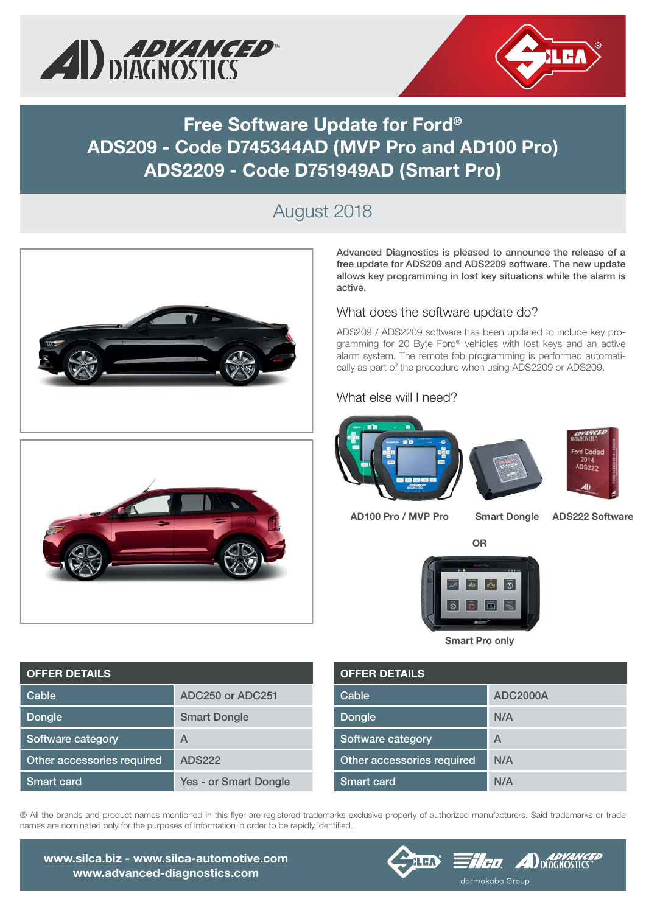



## **Free Software Update for Ford® ADS209 - Code D745344AD (MVP Pro and AD100 Pro) ADS2209 - Code D751949AD (Smart Pro)**

### August 2018



**Advanced Diagnostics is pleased to announce the release of a free update for ADS209 and ADS2209 software. The new update allows key programming in lost key situations while the alarm is active.**

#### What does the software update do?

ADS209 / ADS2209 software has been updated to include key programming for 20 Byte Ford® vehicles with lost keys and an active alarm system. The remote fob programming is performed automatically as part of the procedure when using ADS2209 or ADS209.

### What else will I need?





**AD100 Pro / MVP Pro**

**Smart Dongle ADS222 Software**

**OR**



**Smart Pro only**

| <b>OFFER DETAILS</b>       |                 |  |  |  |  |  |
|----------------------------|-----------------|--|--|--|--|--|
| Cable                      | <b>ADC2000A</b> |  |  |  |  |  |
| Dongle                     | N/A             |  |  |  |  |  |
| Software category          | A               |  |  |  |  |  |
| Other accessories required | N/A             |  |  |  |  |  |
| <b>Smart card</b>          | N/A             |  |  |  |  |  |

® All the brands and product names mentioned in this flyer are registered trademarks exclusive property of authorized manufacturers. Said trademarks or trade names are nominated only for the purposes of information in order to be rapidly identified.



**OFFER DETAILS Cable ADC250 or ADC251 Dongle Smart Dongle Software category A Other accessories required ADS222 Smart card Yes - or Smart Dongle**

**www.silca.biz - www.silca-automotive.com www.advanced-diagnostics.com**



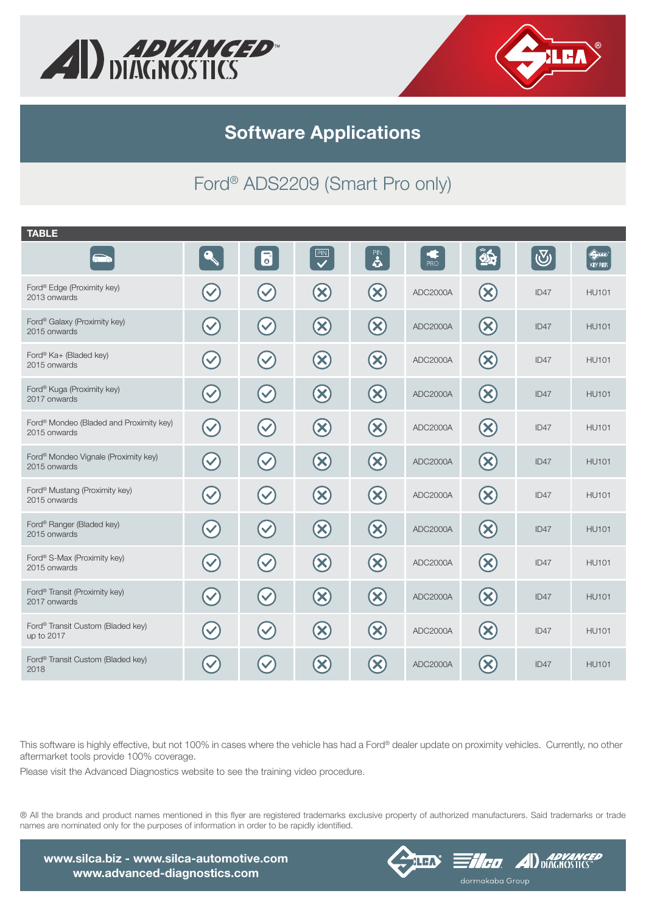



**Software Applications**

# Ford® ADS2209 (Smart Pro only)

| <b>TABLE</b>                                                     |                      |                                   |                                 |                           |          |                                 |            |                                      |
|------------------------------------------------------------------|----------------------|-----------------------------------|---------------------------------|---------------------------|----------|---------------------------------|------------|--------------------------------------|
|                                                                  | $\mathbf{Q}$         | $\overline{\bullet}$              | $\overline{\mathbf{C}}$         | $\overline{\mathbf{B}}$   | PRO      | $\hat{\mathbf{z}}$              | $\bigcirc$ | $\Leftrightarrow$<br><b>KEY REF.</b> |
| Ford® Edge (Proximity key)<br>2013 onwards                       |                      | $\checkmark$                      | $\infty$                        | $\infty$                  | ADC2000A | $\left( \mathsf{x}\right)$      | ID47       | <b>HU101</b>                         |
| Ford® Galaxy (Proximity key)<br>2015 onwards                     | $\blacktriangledown$ | $\blacktriangledown$              | $\bigotimes$                    | $\infty$                  | ADC2000A | $\infty$                        | ID47       | <b>HU101</b>                         |
| Ford® Ka+ (Bladed key)<br>2015 onwards                           | $\checkmark$         | $\left(\checkmark\right)$         | $\bigcirc$                      | $\infty$                  | ADC2000A | $\left( \infty \right)$         | ID47       | <b>HU101</b>                         |
| Ford® Kuga (Proximity key)<br>2017 onwards                       | $\checkmark$         | $\left(\blacktriangledown\right)$ | $\bigcirc$                      | $\infty$                  | ADC2000A | $\left( \infty \right)$         | ID47       | <b>HU101</b>                         |
| Ford® Mondeo (Bladed and Proximity key)<br>2015 onwards          | $\checkmark$         | $\blacktriangledown$              | $\left( \mathbf{\infty}\right)$ | $\infty$                  | ADC2000A | $(\times)$                      | ID47       | <b>HU101</b>                         |
| Ford <sup>®</sup> Mondeo Vignale (Proximity key)<br>2015 onwards | $\blacktriangledown$ | $\blacktriangledown$              | $\bigcirc$                      | $\infty$                  | ADC2000A | $\infty$                        | ID47       | <b>HU101</b>                         |
| Ford <sup>®</sup> Mustang (Proximity key)<br>2015 onwards        | $\blacktriangledown$ | $\blacktriangledown$              | $\bigcirc$                      | $\bigotimes$              | ADC2000A | $\left( \infty \right)$         | ID47       | <b>HU101</b>                         |
| Ford® Ranger (Bladed key)<br>2015 onwards                        | $\blacktriangledown$ | $\left(\checkmark\right)$         | $\bigcirc$                      | $\bigotimes$              | ADC2000A | $\left( \mathbf{\infty}\right)$ | ID47       | <b>HU101</b>                         |
| Ford® S-Max (Proximity key)<br>2015 onwards                      | $\checkmark$         | $\blacktriangledown$              | $\bigotimes$                    | $\bigotimes$              | ADC2000A | $\left( \infty \right)$         | ID47       | <b>HU101</b>                         |
| Ford <sup>®</sup> Transit (Proximity key)<br>2017 onwards        | $\blacktriangledown$ | $\blacktriangledown$              | $\bigcirc$                      | $\infty$                  | ADC2000A | $\infty$                        | ID47       | <b>HU101</b>                         |
| Ford® Transit Custom (Bladed key)<br>up to 2017                  |                      | $\checkmark$                      | $\bigotimes$                    | $\infty$                  | ADC2000A | $\left( \mathsf{x}\right)$      | ID47       | <b>HU101</b>                         |
| Ford® Transit Custom (Bladed key)<br>2018                        |                      |                                   | $\infty$                        | $\boldsymbol{\mathsf{X}}$ | ADC2000A | $(\mathsf{X})$                  | ID47       | <b>HU101</b>                         |

This software is highly effective, but not 100% in cases where the vehicle has had a Ford® dealer update on proximity vehicles. Currently, no other aftermarket tools provide 100% coverage.

Please visit the Advanced Diagnostics website to see the training video procedure.

® All the brands and product names mentioned in this flyer are registered trademarks exclusive property of authorized manufacturers. Said trademarks or trade names are nominated only for the purposes of information in order to be rapidly identified.